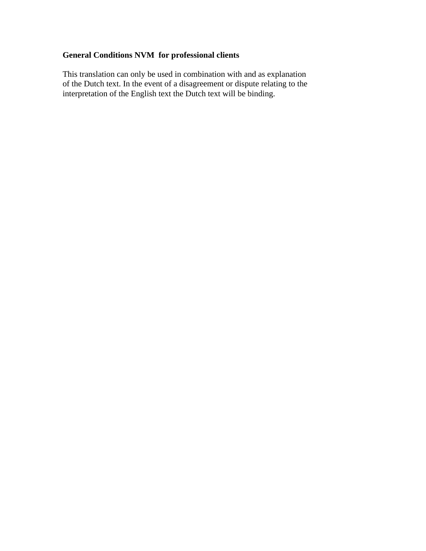# **General Conditions NVM for professional clients**

This translation can only be used in combination with and as explanation of the Dutch text. In the event of a disagreement or dispute relating to the interpretation of the English text the Dutch text will be binding.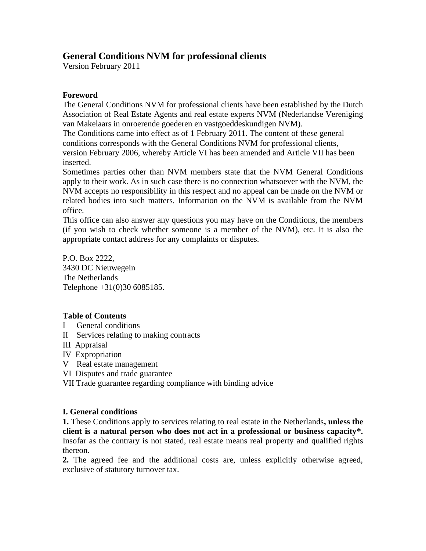# **General Conditions NVM for professional clients**

Version February 2011

# **Foreword**

The General Conditions NVM for professional clients have been established by the Dutch Association of Real Estate Agents and real estate experts NVM (Nederlandse Vereniging van Makelaars in onroerende goederen en vastgoeddeskundigen NVM).

The Conditions came into effect as of 1 February 2011. The content of these general conditions corresponds with the General Conditions NVM for professional clients, version February 2006, whereby Article VI has been amended and Article VII has been inserted.

Sometimes parties other than NVM members state that the NVM General Conditions apply to their work. As in such case there is no connection whatsoever with the NVM, the NVM accepts no responsibility in this respect and no appeal can be made on the NVM or related bodies into such matters. Information on the NVM is available from the NVM office.

This office can also answer any questions you may have on the Conditions, the members (if you wish to check whether someone is a member of the NVM), etc. It is also the appropriate contact address for any complaints or disputes.

P.O. Box 2222, 3430 DC Nieuwegein The Netherlands Telephone +31(0)30 6085185.

# **Table of Contents**

- I General conditions
- II Services relating to making contracts
- III Appraisal
- IV Expropriation
- V Real estate management
- VI Disputes and trade guarantee
- VII Trade guarantee regarding compliance with binding advice

## **I. General conditions**

**1.** These Conditions apply to services relating to real estate in the Netherlands**, unless the client is a natural person who does not act in a professional or business capacity\*.**  Insofar as the contrary is not stated, real estate means real property and qualified rights thereon.

**2.** The agreed fee and the additional costs are, unless explicitly otherwise agreed, exclusive of statutory turnover tax.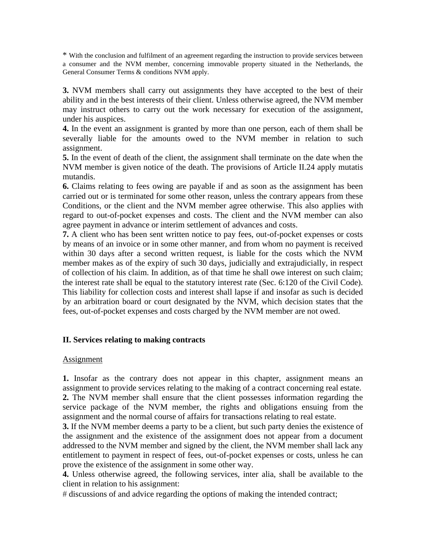\* With the conclusion and fulfilment of an agreement regarding the instruction to provide services between a consumer and the NVM member, concerning immovable property situated in the Netherlands, the General Consumer Terms & conditions NVM apply.

**3.** NVM members shall carry out assignments they have accepted to the best of their ability and in the best interests of their client. Unless otherwise agreed, the NVM member may instruct others to carry out the work necessary for execution of the assignment, under his auspices.

**4.** In the event an assignment is granted by more than one person, each of them shall be severally liable for the amounts owed to the NVM member in relation to such assignment.

**5.** In the event of death of the client, the assignment shall terminate on the date when the NVM member is given notice of the death. The provisions of Article II.24 apply mutatis mutandis.

**6.** Claims relating to fees owing are payable if and as soon as the assignment has been carried out or is terminated for some other reason, unless the contrary appears from these Conditions, or the client and the NVM member agree otherwise. This also applies with regard to out-of-pocket expenses and costs. The client and the NVM member can also agree payment in advance or interim settlement of advances and costs.

**7.** A client who has been sent written notice to pay fees, out-of-pocket expenses or costs by means of an invoice or in some other manner, and from whom no payment is received within 30 days after a second written request, is liable for the costs which the NVM member makes as of the expiry of such 30 days, judicially and extrajudicially, in respect of collection of his claim. In addition, as of that time he shall owe interest on such claim; the interest rate shall be equal to the statutory interest rate (Sec. 6:120 of the Civil Code). This liability for collection costs and interest shall lapse if and insofar as such is decided by an arbitration board or court designated by the NVM, which decision states that the fees, out-of-pocket expenses and costs charged by the NVM member are not owed.

### **II. Services relating to making contracts**

#### Assignment

**1.** Insofar as the contrary does not appear in this chapter, assignment means an assignment to provide services relating to the making of a contract concerning real estate. **2.** The NVM member shall ensure that the client possesses information regarding the service package of the NVM member, the rights and obligations ensuing from the assignment and the normal course of affairs for transactions relating to real estate.

**3.** If the NVM member deems a party to be a client, but such party denies the existence of the assignment and the existence of the assignment does not appear from a document addressed to the NVM member and signed by the client, the NVM member shall lack any entitlement to payment in respect of fees, out-of-pocket expenses or costs, unless he can prove the existence of the assignment in some other way.

**4.** Unless otherwise agreed, the following services, inter alia, shall be available to the client in relation to his assignment:

# discussions of and advice regarding the options of making the intended contract;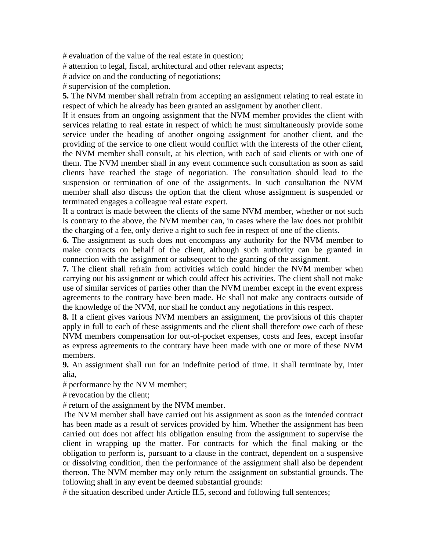$#$  evaluation of the value of the real estate in question;

# attention to legal, fiscal, architectural and other relevant aspects;

# advice on and the conducting of negotiations;

supervision of the completion.

**5.** The NVM member shall refrain from accepting an assignment relating to real estate in respect of which he already has been granted an assignment by another client.

If it ensues from an ongoing assignment that the NVM member provides the client with services relating to real estate in respect of which he must simultaneously provide some service under the heading of another ongoing assignment for another client, and the providing of the service to one client would conflict with the interests of the other client, the NVM member shall consult, at his election, with each of said clients or with one of them. The NVM member shall in any event commence such consultation as soon as said clients have reached the stage of negotiation. The consultation should lead to the suspension or termination of one of the assignments. In such consultation the NVM member shall also discuss the option that the client whose assignment is suspended or terminated engages a colleague real estate expert.

If a contract is made between the clients of the same NVM member, whether or not such is contrary to the above, the NVM member can, in cases where the law does not prohibit the charging of a fee, only derive a right to such fee in respect of one of the clients.

**6.** The assignment as such does not encompass any authority for the NVM member to make contracts on behalf of the client, although such authority can be granted in connection with the assignment or subsequent to the granting of the assignment.

**7.** The client shall refrain from activities which could hinder the NVM member when carrying out his assignment or which could affect his activities. The client shall not make use of similar services of parties other than the NVM member except in the event express agreements to the contrary have been made. He shall not make any contracts outside of the knowledge of the NVM, nor shall he conduct any negotiations in this respect.

**8.** If a client gives various NVM members an assignment, the provisions of this chapter apply in full to each of these assignments and the client shall therefore owe each of these NVM members compensation for out-of-pocket expenses, costs and fees, except insofar as express agreements to the contrary have been made with one or more of these NVM members.

**9.** An assignment shall run for an indefinite period of time. It shall terminate by, inter alia,

performance by the NVM member;

 $#$  revocation by the client;

 $#$  return of the assignment by the NVM member.

The NVM member shall have carried out his assignment as soon as the intended contract has been made as a result of services provided by him. Whether the assignment has been carried out does not affect his obligation ensuing from the assignment to supervise the client in wrapping up the matter. For contracts for which the final making or the obligation to perform is, pursuant to a clause in the contract, dependent on a suspensive or dissolving condition, then the performance of the assignment shall also be dependent thereon. The NVM member may only return the assignment on substantial grounds. The following shall in any event be deemed substantial grounds:

 $#$  the situation described under Article II.5, second and following full sentences;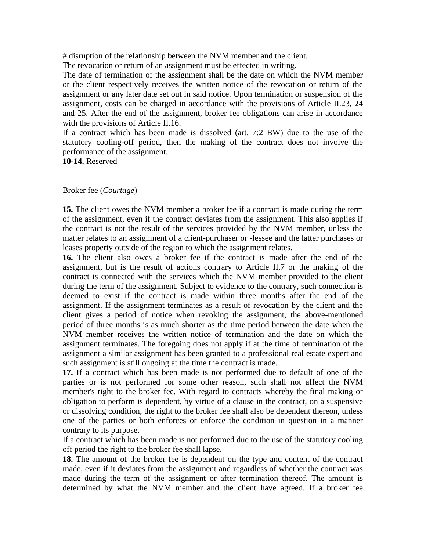disruption of the relationship between the NVM member and the client.

The revocation or return of an assignment must be effected in writing.

The date of termination of the assignment shall be the date on which the NVM member or the client respectively receives the written notice of the revocation or return of the assignment or any later date set out in said notice. Upon termination or suspension of the assignment, costs can be charged in accordance with the provisions of Article II.23, 24 and 25. After the end of the assignment, broker fee obligations can arise in accordance with the provisions of Article II.16.

If a contract which has been made is dissolved (art. 7:2 BW) due to the use of the statutory cooling-off period, then the making of the contract does not involve the performance of the assignment.

**10-14.** Reserved

### Broker fee (*Courtage*)

**15.** The client owes the NVM member a broker fee if a contract is made during the term of the assignment, even if the contract deviates from the assignment. This also applies if the contract is not the result of the services provided by the NVM member, unless the matter relates to an assignment of a client-purchaser or -lessee and the latter purchases or leases property outside of the region to which the assignment relates.

**16.** The client also owes a broker fee if the contract is made after the end of the assignment, but is the result of actions contrary to Article II.7 or the making of the contract is connected with the services which the NVM member provided to the client during the term of the assignment. Subject to evidence to the contrary, such connection is deemed to exist if the contract is made within three months after the end of the assignment. If the assignment terminates as a result of revocation by the client and the client gives a period of notice when revoking the assignment, the above-mentioned period of three months is as much shorter as the time period between the date when the NVM member receives the written notice of termination and the date on which the assignment terminates. The foregoing does not apply if at the time of termination of the assignment a similar assignment has been granted to a professional real estate expert and such assignment is still ongoing at the time the contract is made.

**17.** If a contract which has been made is not performed due to default of one of the parties or is not performed for some other reason, such shall not affect the NVM member's right to the broker fee. With regard to contracts whereby the final making or obligation to perform is dependent, by virtue of a clause in the contract, on a suspensive or dissolving condition, the right to the broker fee shall also be dependent thereon, unless one of the parties or both enforces or enforce the condition in question in a manner contrary to its purpose.

If a contract which has been made is not performed due to the use of the statutory cooling off period the right to the broker fee shall lapse.

**18.** The amount of the broker fee is dependent on the type and content of the contract made, even if it deviates from the assignment and regardless of whether the contract was made during the term of the assignment or after termination thereof. The amount is determined by what the NVM member and the client have agreed. If a broker fee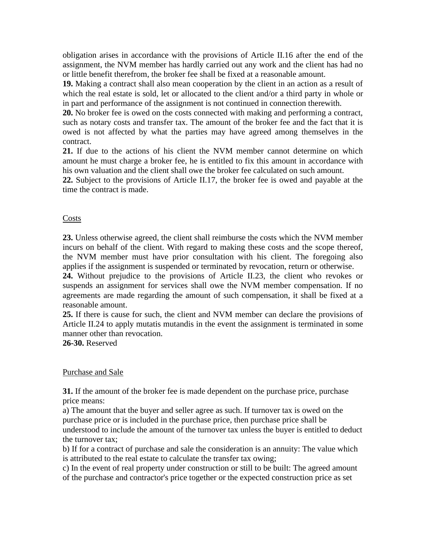obligation arises in accordance with the provisions of Article II.16 after the end of the assignment, the NVM member has hardly carried out any work and the client has had no or little benefit therefrom, the broker fee shall be fixed at a reasonable amount.

**19.** Making a contract shall also mean cooperation by the client in an action as a result of which the real estate is sold, let or allocated to the client and/or a third party in whole or in part and performance of the assignment is not continued in connection therewith.

**20.** No broker fee is owed on the costs connected with making and performing a contract, such as notary costs and transfer tax. The amount of the broker fee and the fact that it is owed is not affected by what the parties may have agreed among themselves in the contract.

**21.** If due to the actions of his client the NVM member cannot determine on which amount he must charge a broker fee, he is entitled to fix this amount in accordance with his own valuation and the client shall owe the broker fee calculated on such amount.

**22.** Subject to the provisions of Article II.17, the broker fee is owed and payable at the time the contract is made.

### Costs

**23.** Unless otherwise agreed, the client shall reimburse the costs which the NVM member incurs on behalf of the client. With regard to making these costs and the scope thereof, the NVM member must have prior consultation with his client. The foregoing also applies if the assignment is suspended or terminated by revocation, return or otherwise.

**24.** Without prejudice to the provisions of Article II.23, the client who revokes or suspends an assignment for services shall owe the NVM member compensation. If no agreements are made regarding the amount of such compensation, it shall be fixed at a reasonable amount.

**25.** If there is cause for such, the client and NVM member can declare the provisions of Article II.24 to apply mutatis mutandis in the event the assignment is terminated in some manner other than revocation.

**26-30.** Reserved

### Purchase and Sale

**31.** If the amount of the broker fee is made dependent on the purchase price, purchase price means:

a) The amount that the buyer and seller agree as such. If turnover tax is owed on the purchase price or is included in the purchase price, then purchase price shall be understood to include the amount of the turnover tax unless the buyer is entitled to deduct the turnover tax;

b) If for a contract of purchase and sale the consideration is an annuity: The value which is attributed to the real estate to calculate the transfer tax owing;

c) In the event of real property under construction or still to be built: The agreed amount of the purchase and contractor's price together or the expected construction price as set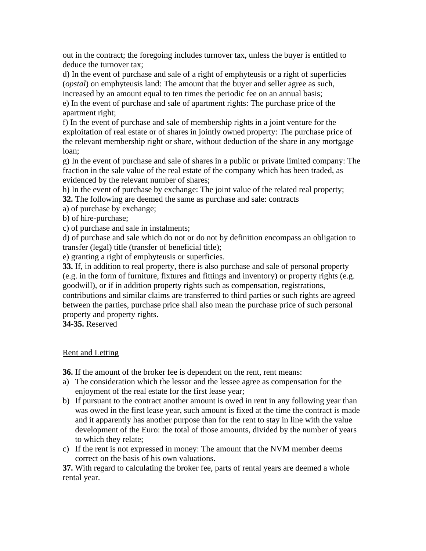out in the contract; the foregoing includes turnover tax, unless the buyer is entitled to deduce the turnover tax;

d) In the event of purchase and sale of a right of emphyteusis or a right of superficies (*opstal*) on emphyteusis land: The amount that the buyer and seller agree as such, increased by an amount equal to ten times the periodic fee on an annual basis;

e) In the event of purchase and sale of apartment rights: The purchase price of the apartment right;

f) In the event of purchase and sale of membership rights in a joint venture for the exploitation of real estate or of shares in jointly owned property: The purchase price of the relevant membership right or share, without deduction of the share in any mortgage loan;

g) In the event of purchase and sale of shares in a public or private limited company: The fraction in the sale value of the real estate of the company which has been traded, as evidenced by the relevant number of shares;

h) In the event of purchase by exchange: The joint value of the related real property;

**32.** The following are deemed the same as purchase and sale: contracts

a) of purchase by exchange;

b) of hire-purchase;

c) of purchase and sale in instalments;

d) of purchase and sale which do not or do not by definition encompass an obligation to transfer (legal) title (transfer of beneficial title);

e) granting a right of emphyteusis or superficies.

**33.** If, in addition to real property, there is also purchase and sale of personal property (e.g. in the form of furniture, fixtures and fittings and inventory) or property rights (e.g. goodwill), or if in addition property rights such as compensation, registrations,

contributions and similar claims are transferred to third parties or such rights are agreed between the parties, purchase price shall also mean the purchase price of such personal property and property rights.

**34-35.** Reserved

## Rent and Letting

**36.** If the amount of the broker fee is dependent on the rent, rent means:

- a) The consideration which the lessor and the lessee agree as compensation for the enjoyment of the real estate for the first lease year;
- b) If pursuant to the contract another amount is owed in rent in any following year than was owed in the first lease year, such amount is fixed at the time the contract is made and it apparently has another purpose than for the rent to stay in line with the value development of the Euro: the total of those amounts, divided by the number of years to which they relate;
- c) If the rent is not expressed in money: The amount that the NVM member deems correct on the basis of his own valuations.

**37.** With regard to calculating the broker fee, parts of rental years are deemed a whole rental year.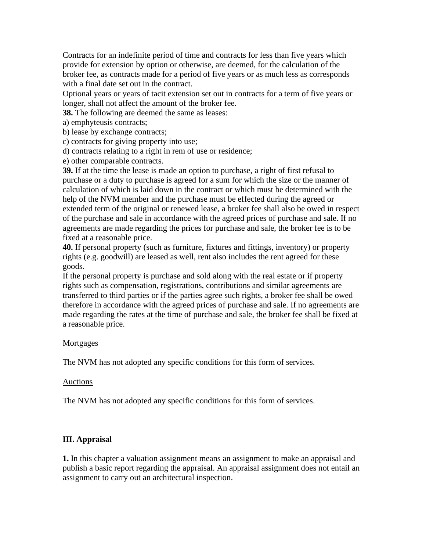Contracts for an indefinite period of time and contracts for less than five years which provide for extension by option or otherwise, are deemed, for the calculation of the broker fee, as contracts made for a period of five years or as much less as corresponds with a final date set out in the contract.

Optional years or years of tacit extension set out in contracts for a term of five years or longer, shall not affect the amount of the broker fee.

**38.** The following are deemed the same as leases:

a) emphyteusis contracts;

b) lease by exchange contracts;

c) contracts for giving property into use;

d) contracts relating to a right in rem of use or residence;

e) other comparable contracts.

**39.** If at the time the lease is made an option to purchase, a right of first refusal to purchase or a duty to purchase is agreed for a sum for which the size or the manner of calculation of which is laid down in the contract or which must be determined with the help of the NVM member and the purchase must be effected during the agreed or extended term of the original or renewed lease, a broker fee shall also be owed in respect of the purchase and sale in accordance with the agreed prices of purchase and sale. If no agreements are made regarding the prices for purchase and sale, the broker fee is to be fixed at a reasonable price.

**40.** If personal property (such as furniture, fixtures and fittings, inventory) or property rights (e.g. goodwill) are leased as well, rent also includes the rent agreed for these goods.

If the personal property is purchase and sold along with the real estate or if property rights such as compensation, registrations, contributions and similar agreements are transferred to third parties or if the parties agree such rights, a broker fee shall be owed therefore in accordance with the agreed prices of purchase and sale. If no agreements are made regarding the rates at the time of purchase and sale, the broker fee shall be fixed at a reasonable price.

#### **Mortgages**

The NVM has not adopted any specific conditions for this form of services.

#### Auctions

The NVM has not adopted any specific conditions for this form of services.

### **III. Appraisal**

**1.** In this chapter a valuation assignment means an assignment to make an appraisal and publish a basic report regarding the appraisal. An appraisal assignment does not entail an assignment to carry out an architectural inspection.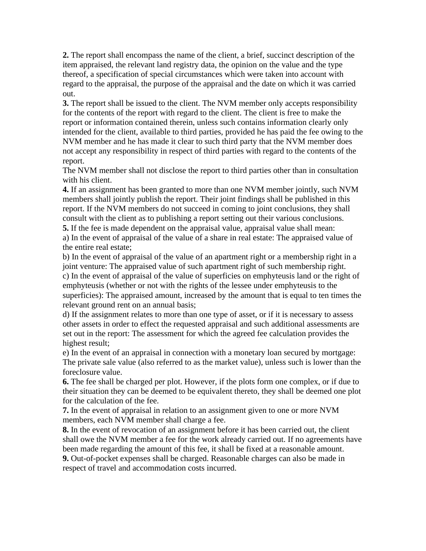**2.** The report shall encompass the name of the client, a brief, succinct description of the item appraised, the relevant land registry data, the opinion on the value and the type thereof, a specification of special circumstances which were taken into account with regard to the appraisal, the purpose of the appraisal and the date on which it was carried out.

**3.** The report shall be issued to the client. The NVM member only accepts responsibility for the contents of the report with regard to the client. The client is free to make the report or information contained therein, unless such contains information clearly only intended for the client, available to third parties, provided he has paid the fee owing to the NVM member and he has made it clear to such third party that the NVM member does not accept any responsibility in respect of third parties with regard to the contents of the report.

The NVM member shall not disclose the report to third parties other than in consultation with his client.

**4.** If an assignment has been granted to more than one NVM member jointly, such NVM members shall jointly publish the report. Their joint findings shall be published in this report. If the NVM members do not succeed in coming to joint conclusions, they shall consult with the client as to publishing a report setting out their various conclusions.

**5.** If the fee is made dependent on the appraisal value, appraisal value shall mean: a) In the event of appraisal of the value of a share in real estate: The appraised value of the entire real estate;

b) In the event of appraisal of the value of an apartment right or a membership right in a joint venture: The appraised value of such apartment right of such membership right. c) In the event of appraisal of the value of superficies on emphyteusis land or the right of emphyteusis (whether or not with the rights of the lessee under emphyteusis to the superficies): The appraised amount, increased by the amount that is equal to ten times the relevant ground rent on an annual basis;

d) If the assignment relates to more than one type of asset, or if it is necessary to assess other assets in order to effect the requested appraisal and such additional assessments are set out in the report: The assessment for which the agreed fee calculation provides the highest result;

e) In the event of an appraisal in connection with a monetary loan secured by mortgage: The private sale value (also referred to as the market value), unless such is lower than the foreclosure value.

**6.** The fee shall be charged per plot. However, if the plots form one complex, or if due to their situation they can be deemed to be equivalent thereto, they shall be deemed one plot for the calculation of the fee.

**7.** In the event of appraisal in relation to an assignment given to one or more NVM members, each NVM member shall charge a fee.

**8.** In the event of revocation of an assignment before it has been carried out, the client shall owe the NVM member a fee for the work already carried out. If no agreements have been made regarding the amount of this fee, it shall be fixed at a reasonable amount.

**9.** Out-of-pocket expenses shall be charged. Reasonable charges can also be made in respect of travel and accommodation costs incurred.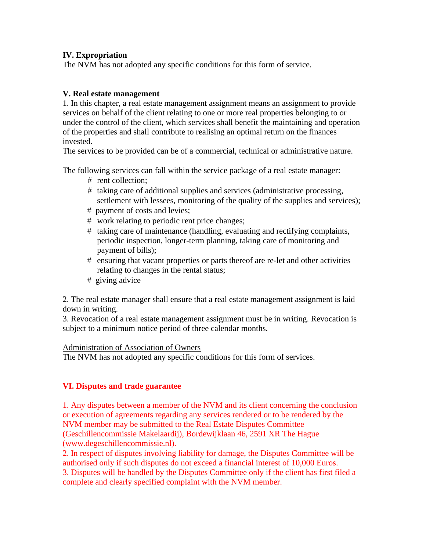## **IV. Expropriation**

The NVM has not adopted any specific conditions for this form of service.

## **V. Real estate management**

1. In this chapter, a real estate management assignment means an assignment to provide services on behalf of the client relating to one or more real properties belonging to or under the control of the client, which services shall benefit the maintaining and operation of the properties and shall contribute to realising an optimal return on the finances invested.

The services to be provided can be of a commercial, technical or administrative nature.

The following services can fall within the service package of a real estate manager:

- $#$  rent collection:
- $#$  taking care of additional supplies and services (administrative processing, settlement with lessees, monitoring of the quality of the supplies and services);
- payment of costs and levies;
- work relating to periodic rent price changes;
- $#$  taking care of maintenance (handling, evaluating and rectifying complaints, periodic inspection, longer-term planning, taking care of monitoring and payment of bills);
- ensuring that vacant properties or parts thereof are re-let and other activities relating to changes in the rental status;
- $#$  giving advice

2. The real estate manager shall ensure that a real estate management assignment is laid down in writing.

3. Revocation of a real estate management assignment must be in writing. Revocation is subject to a minimum notice period of three calendar months.

## Administration of Association of Owners

The NVM has not adopted any specific conditions for this form of services.

# **VI. Disputes and trade guarantee**

1. Any disputes between a member of the NVM and its client concerning the conclusion or execution of agreements regarding any services rendered or to be rendered by the NVM member may be submitted to the Real Estate Disputes Committee (Geschillencommissie Makelaardij), Bordewijklaan 46, 2591 XR The Hague (www.degeschillencommissie.nl).

2. In respect of disputes involving liability for damage, the Disputes Committee will be authorised only if such disputes do not exceed a financial interest of 10,000 Euros. 3. Disputes will be handled by the Disputes Committee only if the client has first filed a complete and clearly specified complaint with the NVM member.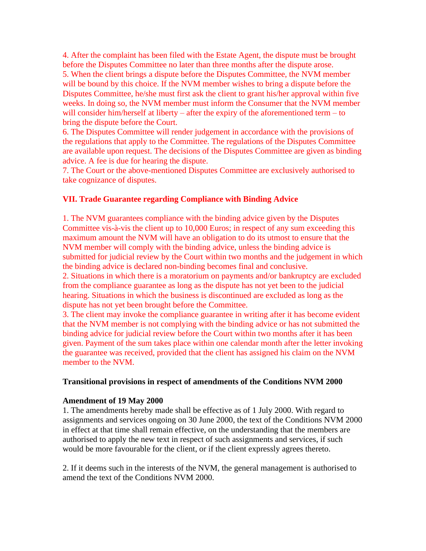4. After the complaint has been filed with the Estate Agent, the dispute must be brought before the Disputes Committee no later than three months after the dispute arose.

5. When the client brings a dispute before the Disputes Committee, the NVM member will be bound by this choice. If the NVM member wishes to bring a dispute before the Disputes Committee, he/she must first ask the client to grant his/her approval within five weeks. In doing so, the NVM member must inform the Consumer that the NVM member will consider him/herself at liberty – after the expiry of the aforementioned term – to bring the dispute before the Court.

6. The Disputes Committee will render judgement in accordance with the provisions of the regulations that apply to the Committee. The regulations of the Disputes Committee are available upon request. The decisions of the Disputes Committee are given as binding advice. A fee is due for hearing the dispute.

7. The Court or the above-mentioned Disputes Committee are exclusively authorised to take cognizance of disputes.

## **VII. Trade Guarantee regarding Compliance with Binding Advice**

1. The NVM guarantees compliance with the binding advice given by the Disputes Committee vis-à-vis the client up to 10,000 Euros; in respect of any sum exceeding this maximum amount the NVM will have an obligation to do its utmost to ensure that the NVM member will comply with the binding advice, unless the binding advice is submitted for judicial review by the Court within two months and the judgement in which the binding advice is declared non-binding becomes final and conclusive.

2. Situations in which there is a moratorium on payments and/or bankruptcy are excluded from the compliance guarantee as long as the dispute has not yet been to the judicial hearing. Situations in which the business is discontinued are excluded as long as the dispute has not yet been brought before the Committee.

3. The client may invoke the compliance guarantee in writing after it has become evident that the NVM member is not complying with the binding advice or has not submitted the binding advice for judicial review before the Court within two months after it has been given. Payment of the sum takes place within one calendar month after the letter invoking the guarantee was received, provided that the client has assigned his claim on the NVM member to the NVM.

#### **Transitional provisions in respect of amendments of the Conditions NVM 2000**

### **Amendment of 19 May 2000**

1. The amendments hereby made shall be effective as of 1 July 2000. With regard to assignments and services ongoing on 30 June 2000, the text of the Conditions NVM 2000 in effect at that time shall remain effective, on the understanding that the members are authorised to apply the new text in respect of such assignments and services, if such would be more favourable for the client, or if the client expressly agrees thereto.

2. If it deems such in the interests of the NVM, the general management is authorised to amend the text of the Conditions NVM 2000.